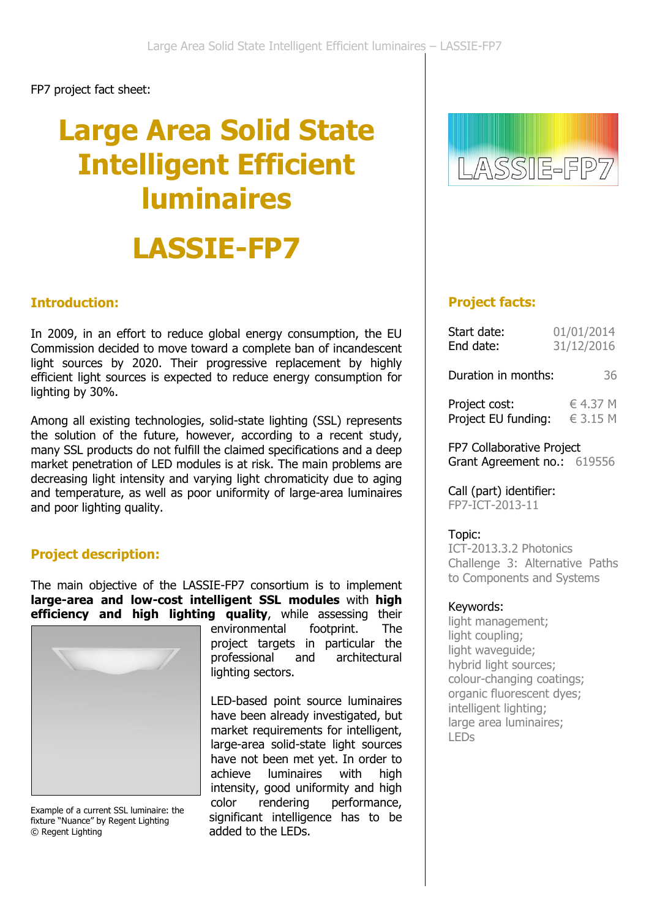FP7 project fact sheet:

# **Large Area Solid State Intelligent Efficient luminaires LASSIE-FP7**

#### **Introduction:**

In 2009, in an effort to reduce global energy consumption, the EU Commission decided to move toward a complete ban of incandescent light sources by 2020. Their progressive replacement by highly efficient light sources is expected to reduce energy consumption for lighting by 30%.

Among all existing technologies, solid-state lighting (SSL) represents the solution of the future, however, according to a recent study, many SSL products do not fulfill the claimed specifications and a deep market penetration of LED modules is at risk. The main problems are decreasing light intensity and varying light chromaticity due to aging and temperature, as well as poor uniformity of large-area luminaires and poor lighting quality.

## **Project description:**

The main objective of the LASSIE-FP7 consortium is to implement **large-area and low-cost intelligent SSL modules** with **high efficiency and high lighting quality**, while assessing their



Example of a current SSL luminaire: the fixture "Nuance" by Regent Lighting © Regent Lighting

environmental footprint. The project targets in particular the professional and architectural lighting sectors.

LED-based point source luminaires have been already investigated, but market requirements for intelligent, large-area solid-state light sources have not been met yet. In order to achieve luminaires with high intensity, good uniformity and high color rendering performance, significant intelligence has to be added to the LEDs.



## **Project facts:**

| 01/01/2014<br>31/12/2016                    |
|---------------------------------------------|
| Duration in months:<br>36                   |
| € 4.37 M<br>Project EU funding:<br>€ 3.15 M |
|                                             |

FP7 Collaborative Project Grant Agreement no.: 619556

Call (part) identifier: FP7-ICT-2013-11

#### Topic:

ICT-2013.3.2 Photonics Challenge 3: Alternative Paths to Components and Systems

#### Keywords:

light management; light coupling; light waveguide; hybrid light sources; colour-changing coatings; organic fluorescent dyes; intelligent lighting; large area luminaires; LEDs